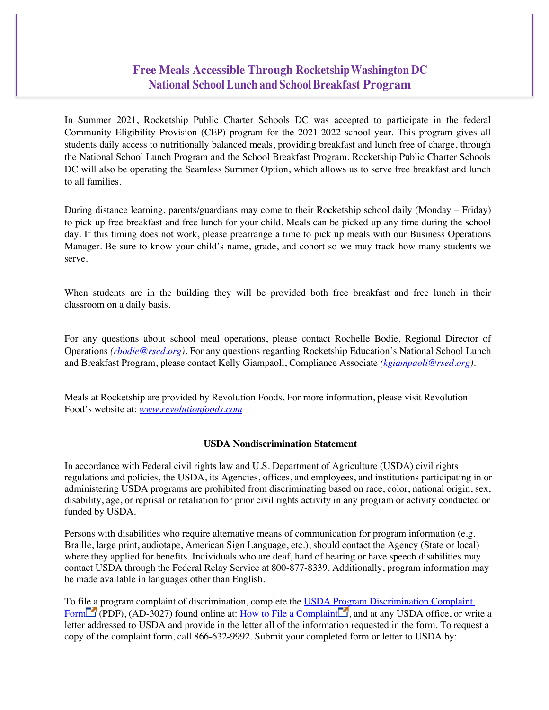## **Free Meals Accessible Through RocketshipWashington DC National SchoolLunch and SchoolBreakfast Program**

In Summer 2021, Rocketship Public Charter Schools DC was accepted to participate in the federal Community Eligibility Provision (CEP) program for the 2021-2022 school year. This program gives all students daily access to nutritionally balanced meals, providing breakfast and lunch free of charge, through the National School Lunch Program and the School Breakfast Program. Rocketship Public Charter Schools DC will also be operating the Seamless Summer Option, which allows us to serve free breakfast and lunch to all families.

During distance learning, parents/guardians may come to their Rocketship school daily (Monday – Friday) to pick up free breakfast and free lunch for your child. Meals can be picked up any time during the school day. If this timing does not work, please prearrange a time to pick up meals with our Business Operations Manager. Be sure to know your child's name, grade, and cohort so we may track how many students we serve.

When students are in the building they will be provided both free breakfast and free lunch in their classroom on a daily basis.

For any questions about school meal operations, please contact Rochelle Bodie, Regional Director of Operations *(rbodie@rsed.org).* For any questions regarding Rocketship Education's National School Lunch and Breakfast Program, please contact Kelly Giampaoli, Compliance Associate *(kgiampaoli@rsed.org)*.

Meals at Rocketship are provided by Revolution Foods. For more information, please visit Revolution Food's website at: *www.revolutionfoods.com*

## **USDA Nondiscrimination Statement**

In accordance with Federal civil rights law and U.S. Department of Agriculture (USDA) civil rights regulations and policies, the USDA, its Agencies, offices, and employees, and institutions participating in or administering USDA programs are prohibited from discriminating based on race, color, national origin, sex, disability, age, or reprisal or retaliation for prior civil rights activity in any program or activity conducted or funded by USDA.

Persons with disabilities who require alternative means of communication for program information (e.g. Braille, large print, audiotape, American Sign Language, etc.), should contact the Agency (State or local) where they applied for benefits. Individuals who are deaf, hard of hearing or have speech disabilities may contact USDA through the Federal Relay Service at 800-877-8339. Additionally, program information may be made available in languages other than English.

To file a program complaint of discrimination, complete the USDA Program Discrimination Complaint Form  $\Box$  (PDF), (AD-3027) found online at: How to File a Complaint , and at any USDA office, or write a letter addressed to USDA and provide in the letter all of the information requested in the form. To request a copy of the complaint form, call 866-632-9992. Submit your completed form or letter to USDA by: